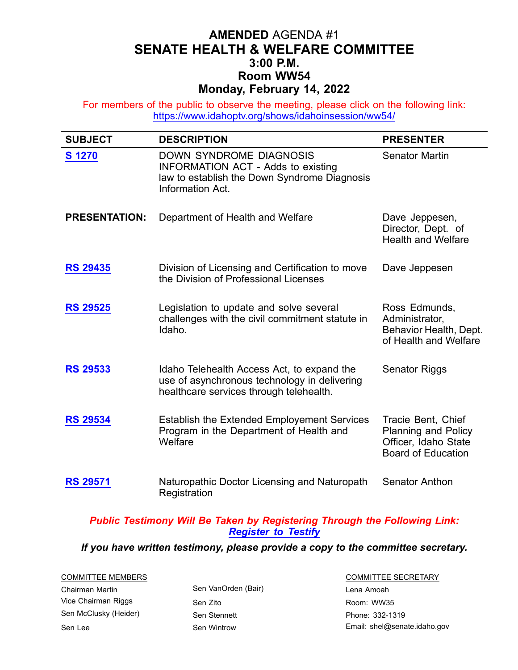## **AMENDED** AGENDA #1 **SENATE HEALTH & WELFARE COMMITTEE 3:00 P.M. Room WW54 Monday, February 14, 2022**

For members of the public to observe the meeting, please click on the following link: <https://www.idahoptv.org/shows/idahoinsession/ww54/>

| <b>SUBJECT</b>       | <b>DESCRIPTION</b>                                                                                                                              | <b>PRESENTER</b>                                                                               |
|----------------------|-------------------------------------------------------------------------------------------------------------------------------------------------|------------------------------------------------------------------------------------------------|
| <b>S</b> 1270        | <b>DOWN SYNDROME DIAGNOSIS</b><br><b>INFORMATION ACT - Adds to existing</b><br>law to establish the Down Syndrome Diagnosis<br>Information Act. | <b>Senator Martin</b>                                                                          |
| <b>PRESENTATION:</b> | Department of Health and Welfare                                                                                                                | Dave Jeppesen,<br>Director, Dept. of<br><b>Health and Welfare</b>                              |
| <b>RS 29435</b>      | Division of Licensing and Certification to move<br>the Division of Professional Licenses                                                        | Dave Jeppesen                                                                                  |
| <b>RS 29525</b>      | Legislation to update and solve several<br>challenges with the civil commitment statute in<br>Idaho.                                            | Ross Edmunds,<br>Administrator,<br>Behavior Health, Dept.<br>of Health and Welfare             |
| <b>RS 29533</b>      | Idaho Telehealth Access Act, to expand the<br>use of asynchronous technology in delivering<br>healthcare services through telehealth.           | <b>Senator Riggs</b>                                                                           |
| <b>RS 29534</b>      | <b>Establish the Extended Employement Services</b><br>Program in the Department of Health and<br>Welfare                                        | Tracie Bent, Chief<br>Planning and Policy<br>Officer, Idaho State<br><b>Board of Education</b> |
| <b>RS 29571</b>      | Naturopathic Doctor Licensing and Naturopath<br>Registration                                                                                    | <b>Senator Anthon</b>                                                                          |

## *Public Testimony Will Be Taken by Registering Through the Following Link: [Register](https://legislature.idaho.gov/sessioninfo/2022/standingcommittees/shw/#hcode-tab-style2testimony-registration-remote-in-person) to Testify*

## *If you have written testimony, please provide <sup>a</sup> copy to the committee secretary.*

| COMMITTEE MEMBERS     |                     | <b>COMMITTEE SECRETARY</b>   |  |
|-----------------------|---------------------|------------------------------|--|
| Chairman Martin       | Sen VanOrden (Bair) | Lena Amoah                   |  |
| Vice Chairman Riggs   | Sen Zito            | Room: WW35                   |  |
| Sen McClusky (Heider) | Sen Stennett        | Phone: 332-1319              |  |
| Sen Lee               | Sen Wintrow         | Email: shel@senate.idaho.gov |  |